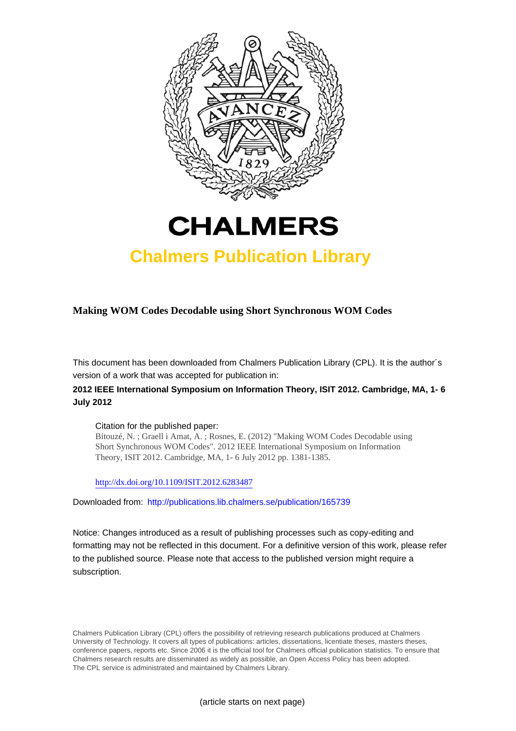



## **Chalmers Publication Library**

## **Making WOM Codes Decodable using Short Synchronous WOM Codes**

This document has been downloaded from Chalmers Publication Library (CPL). It is the author´s version of a work that was accepted for publication in:

## **2012 IEEE International Symposium on Information Theory, ISIT 2012. Cambridge, MA, 1- 6 July 2012**

#### Citation for the published paper:

Bitouzé, N. ; Graell i Amat, A. ; Rosnes, E. (2012) "Making WOM Codes Decodable using Short Synchronous WOM Codes". 2012 IEEE International Symposium on Information Theory, ISIT 2012. Cambridge, MA, 1- 6 July 2012 pp. 1381-1385.

<http://dx.doi.org/10.1109/ISIT.2012.6283487>

Downloaded from: <http://publications.lib.chalmers.se/publication/165739>

Notice: Changes introduced as a result of publishing processes such as copy-editing and formatting may not be reflected in this document. For a definitive version of this work, please refer to the published source. Please note that access to the published version might require a subscription.

Chalmers Publication Library (CPL) offers the possibility of retrieving research publications produced at Chalmers University of Technology. It covers all types of publications: articles, dissertations, licentiate theses, masters theses, conference papers, reports etc. Since 2006 it is the official tool for Chalmers official publication statistics. To ensure that Chalmers research results are disseminated as widely as possible, an Open Access Policy has been adopted. The CPL service is administrated and maintained by Chalmers Library.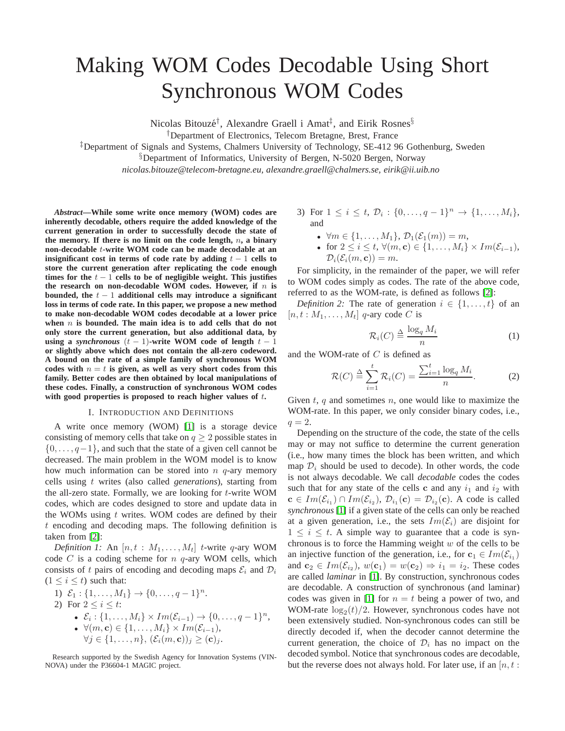# Making WOM Codes Decodable Using Short Synchronous WOM Codes

Nicolas Bitouzé<sup>†</sup>, Alexandre Graell i Amat<sup>‡</sup>, and Eirik Rosnes<sup>§</sup>

†Department of Electronics, Telecom Bretagne, Brest, France

‡Department of Signals and Systems, Chalmers University of Technology, SE-412 96 Gothenburg, Sweden

§Department of Informatics, University of Bergen, N-5020 Bergen, Norway

*nicolas.bitouze@telecom-bretagne.eu, alexandre.graell@chalmers.se, eirik@ii.uib.no*

*Abstract***—While some write once memory (WOM) codes are inherently decodable, others require the added knowledge of the current generation in order to successfully decode the state of the memory. If there is no limit on the code length,** n**, a binary non-decodable** t**-write WOM code can be made decodable at an insignificant cost in terms of code rate by adding**  $t - 1$  **cells to store the current generation after replicating the code enough** times for the  $t - 1$  cells to be of negligible weight. This justifies the research on non-decodable WOM codes. However, if  $n$  is **bounded, the** t − 1 **additional cells may introduce a significant loss in terms of code rate. In this paper, we propose a new method to make non-decodable WOM codes decodable at a lower price when** n **is bounded. The main idea is to add cells that do not only store the current generation, but also additional data, by using a** *synchronous*  $(t - 1)$ -write WOM code of length  $t - 1$ **or slightly above which does not contain the all-zero codeword. A bound on the rate of a simple family of synchronous WOM** codes with  $n = t$  is given, as well as very short codes from this **family. Better codes are then obtained by local manipulations of these codes. Finally, a construction of synchronous WOM codes with good properties is proposed to reach higher values of** t**.**

#### I. INTRODUCTION AND DEFINITIONS

A write once memory (WOM) [\[1\]](#page-5-0) is a storage device consisting of memory cells that take on  $q \ge 2$  possible states in  $\{0, \ldots, q-1\}$ , and such that the state of a given cell cannot be decreased. The main problem in the WOM model is to know how much information can be stored into  $n$   $q$ -ary memory cells using t writes (also called *generations*), starting from the all-zero state. Formally, we are looking for  $t$ -write WOM codes, which are codes designed to store and update data in the WOMs using  $t$  writes. WOM codes are defined by their t encoding and decoding maps. The following definition is taken from [\[2\]](#page-5-1):

*Definition 1:* An  $[n, t : M_1, \ldots, M_t]$  *t*-write q-ary WOM code  $C$  is a coding scheme for  $n$   $q$ -ary WOM cells, which consists of t pairs of encoding and decoding maps  $\mathcal{E}_i$  and  $\mathcal{D}_i$  $(1 \leq i \leq t)$  such that:

1) 
$$
\mathcal{E}_1: \{1, ..., M_1\} \to \{0, ..., q-1\}^n
$$
.  
\n2) For  $2 \le i \le t$ :  
\n•  $\mathcal{E}_i: \{1, ..., M_i\} \times Im(\mathcal{E}_{i-1}) \to \{0, ..., q-1\}^n$ ,  
\n•  $\forall (m, c) \in \{1, ..., M_i\} \times Im(\mathcal{E}_{i-1})$ ,  
\n $\forall j \in \{1, ..., n\}, (\mathcal{E}_i(m, c))_j \ge (c)_j$ .

Research supported by the Swedish Agency for Innovation Systems (VIN-NOVA) under the P36604-1 MAGIC project.

- 3) For  $1 \leq i \leq t$ ,  $\mathcal{D}_i : \{0, \ldots, q-1\}^n \to \{1, \ldots, M_i\}$ , and
	- $\forall m \in \{1, ..., M_1\}, \mathcal{D}_1(\mathcal{E}_1(m)) = m$ ,
	- for  $2 \leq i \leq t$ ,  $\forall (m, c) \in \{1, \ldots, M_i\} \times Im(\mathcal{E}_{i-1}),$  $\mathcal{D}_i(\mathcal{E}_i(m, \mathbf{c})) = m$ .

For simplicity, in the remainder of the paper, we will refer to WOM codes simply as codes. The rate of the above code, referred to as the WOM-rate, is defined as follows [\[2\]](#page-5-1):

*Definition 2:* The rate of generation  $i \in \{1, \ldots, t\}$  of an  $[n, t : M_1, \ldots, M_t]$  q-ary code C is

$$
\mathcal{R}_i(C) \stackrel{\Delta}{=} \frac{\log_q M_i}{n} \tag{1}
$$

and the WOM-rate of  $C$  is defined as

$$
\mathcal{R}(C) \stackrel{\Delta}{=} \sum_{i=1}^{t} \mathcal{R}_i(C) = \frac{\sum_{i=1}^{t} \log_q M_i}{n}.
$$
 (2)

Given  $t$ ,  $q$  and sometimes  $n$ , one would like to maximize the WOM-rate. In this paper, we only consider binary codes, i.e.,  $q=2.$ 

Depending on the structure of the code, the state of the cells may or may not suffice to determine the current generation (i.e., how many times the block has been written, and which map  $\mathcal{D}_i$  should be used to decode). In other words, the code is not always decodable. We call *decodable* codes the codes such that for any state of the cells c and any  $i_1$  and  $i_2$  with  $\mathbf{c} \in Im(\mathcal{E}_{i_1}) \cap Im(\mathcal{E}_{i_2}), \mathcal{D}_{i_1}(\mathbf{c}) = \mathcal{D}_{i_2}(\mathbf{c}).$  A code is called *synchronous* [\[1\]](#page-5-0) if a given state of the cells can only be reached at a given generation, i.e., the sets  $Im(\mathcal{E}_i)$  are disjoint for  $1 \leq i \leq t$ . A simple way to guarantee that a code is synchronous is to force the Hamming weight  $w$  of the cells to be an injective function of the generation, i.e., for  $c_1 \in Im(\mathcal{E}_{i_1})$ and  $\mathbf{c}_2 \in Im(\mathcal{E}_{i_2}), w(\mathbf{c}_1) = w(\mathbf{c}_2) \Rightarrow i_1 = i_2$ . These codes are called *laminar* in [\[1\]](#page-5-0). By construction, synchronous codes are decodable. A construction of synchronous (and laminar) codes was given in [\[1\]](#page-5-0) for  $n = t$  being a power of two, and WOM-rate  $\log_2(t)/2$ . However, synchronous codes have not been extensively studied. Non-synchronous codes can still be directly decoded if, when the decoder cannot determine the current generation, the choice of  $\mathcal{D}_i$  has no impact on the decoded symbol. Notice that synchronous codes are decodable, but the reverse does not always hold. For later use, if an  $[n, t]$ :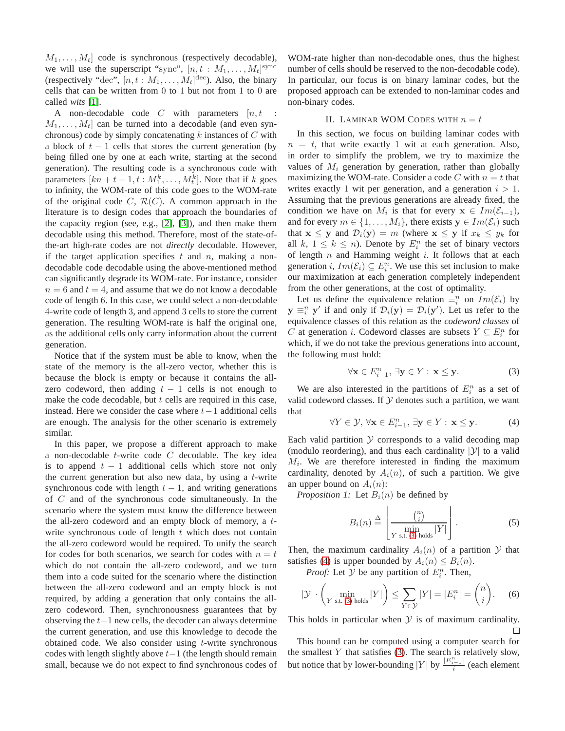$M_1, \ldots, M_t$  code is synchronous (respectively decodable), we will use the superscript "sync",  $[n, t : M_1, \ldots, M_t]$ <sup>sync</sup> (respectively "dec",  $[n, t : M_1, \ldots, M_t]^{\text{dec}}$ ). Also, the binary cells that can be written from 0 to 1 but not from 1 to 0 are called *wits* [\[1\]](#page-5-0).

A non-decodable code  $C$  with parameters  $[n, t]$  $M_1, \ldots, M_t$  can be turned into a decodable (and even synchronous) code by simply concatenating  $k$  instances of  $C$  with a block of  $t - 1$  cells that stores the current generation (by being filled one by one at each write, starting at the second generation). The resulting code is a synchronous code with parameters  $[kn + t - 1, t : M_1^k, \dots, M_t^k]$ . Note that if k goes to infinity, the WOM-rate of this code goes to the WOM-rate of the original code  $C$ ,  $\mathcal{R}(C)$ . A common approach in the literature is to design codes that approach the boundaries of the capacity region (see, e.g., [\[2\]](#page-5-1), [\[3\]](#page-5-2)), and then make them decodable using this method. Therefore, most of the state-ofthe-art high-rate codes are not *directly* decodable. However, if the target application specifies  $t$  and  $n$ , making a nondecodable code decodable using the above-mentioned method can significantly degrade its WOM-rate. For instance, consider  $n = 6$  and  $t = 4$ , and assume that we do not know a decodable code of length 6. In this case, we could select a non-decodable 4-write code of length 3, and append 3 cells to store the current generation. The resulting WOM-rate is half the original one, as the additional cells only carry information about the current generation.

Notice that if the system must be able to know, when the state of the memory is the all-zero vector, whether this is because the block is empty or because it contains the allzero codeword, then adding  $t - 1$  cells is not enough to make the code decodable, but  $t$  cells are required in this case, instead. Here we consider the case where  $t-1$  additional cells are enough. The analysis for the other scenario is extremely similar.

In this paper, we propose a different approach to make a non-decodable  $t$ -write code  $C$  decodable. The key idea is to append  $t - 1$  additional cells which store not only the current generation but also new data, by using a  $t$ -write synchronous code with length  $t - 1$ , and writing generations of C and of the synchronous code simultaneously. In the scenario where the system must know the difference between the all-zero codeword and an empty block of memory, a twrite synchronous code of length  $t$  which does not contain the all-zero codeword would be required. To unify the search for codes for both scenarios, we search for codes with  $n = t$ which do not contain the all-zero codeword, and we turn them into a code suited for the scenario where the distinction between the all-zero codeword and an empty block is not required, by adding a generation that only contains the allzero codeword. Then, synchronousness guarantees that by observing the  $t-1$  new cells, the decoder can always determine the current generation, and use this knowledge to decode the obtained code. We also consider using  $t$ -write synchronous codes with length slightly above  $t-1$  (the length should remain small, because we do not expect to find synchronous codes of WOM-rate higher than non-decodable ones, thus the highest number of cells should be reserved to the non-decodable code). In particular, our focus is on binary laminar codes, but the proposed approach can be extended to non-laminar codes and non-binary codes.

#### II. LAMINAR WOM CODES WITH  $n = t$

<span id="page-2-2"></span>In this section, we focus on building laminar codes with  $n = t$ , that write exactly 1 wit at each generation. Also, in order to simplify the problem, we try to maximize the values of  $M_i$  generation by generation, rather than globally maximizing the WOM-rate. Consider a code C with  $n = t$  that writes exactly 1 wit per generation, and a generation  $i > 1$ . Assuming that the previous generations are already fixed, the condition we have on  $M_i$  is that for every  $\mathbf{x} \in Im(\mathcal{E}_{i-1}),$ and for every  $m \in \{1, \ldots, M_i\}$ , there exists  $y \in Im(\mathcal{E}_i)$  such that  $x \leq y$  and  $\mathcal{D}_i(y) = m$  (where  $x \leq y$  if  $x_k \leq y_k$  for all  $k, 1 \leq k \leq n$ ). Denote by  $E_i^n$  the set of binary vectors of length  $n$  and Hamming weight  $i$ . It follows that at each generation *i*,  $Im(\mathcal{E}_i) \subseteq E_i^n$ . We use this set inclusion to make our maximization at each generation completely independent from the other generations, at the cost of optimality.

Let us define the equivalence relation  $\equiv_i^n$  on  $Im(\mathcal{E}_i)$  by  $y \equiv_i^n y'$  if and only if  $\mathcal{D}_i(y) = \mathcal{D}_i(y')$ . Let us refer to the equivalence classes of this relation as the *codeword classes* of C at generation *i*. Codeword classes are subsets  $Y \subseteq E_i^n$  for which, if we do not take the previous generations into account, the following must hold:

<span id="page-2-0"></span>
$$
\forall \mathbf{x} \in E_{i-1}^n, \ \exists \mathbf{y} \in Y : \ \mathbf{x} \leq \mathbf{y}.\tag{3}
$$

We are also interested in the partitions of  $E_i^n$  as a set of valid codeword classes. If  $Y$  denotes such a partition, we want that

<span id="page-2-1"></span>
$$
\forall Y \in \mathcal{Y}, \forall \mathbf{x} \in E_{i-1}^n, \exists \mathbf{y} \in Y : \mathbf{x} \leq \mathbf{y}.
$$
 (4)

Each valid partition  $Y$  corresponds to a valid decoding map (modulo reordering), and thus each cardinality  $|\mathcal{Y}|$  to a valid  $M_i$ . We are therefore interested in finding the maximum cardinality, denoted by  $A_i(n)$ , of such a partition. We give an upper bound on  $A_i(n)$ :

*Proposition 1:* Let  $B_i(n)$  be defined by

$$
B_i(n) \triangleq \left[ \frac{{\binom{n}{i}}}{\min_{Y \text{ s.t. (3) holds}} |Y|} \right].
$$
 (5)

Then, the maximum cardinality  $A_i(n)$  of a partition Y that satisfies [\(4\)](#page-2-1) is upper bounded by  $A_i(n) \leq B_i(n)$ .

*Proof:* Let  $\mathcal Y$  be any partition of  $E_i^n$ . Then,

$$
|\mathcal{Y}| \cdot \left(\min_{Y \text{ s.t. (3) holds}} |Y|\right) \le \sum_{Y \in \mathcal{Y}} |Y| = |E_i^n| = \binom{n}{i}.\tag{6}
$$

This holds in particular when  $Y$  is of maximum cardinality. П

This bound can be computed using a computer search for the smallest  $Y$  that satisfies [\(3\)](#page-2-0). The search is relatively slow, but notice that by lower-bounding  $|Y|$  by  $\frac{|E_{i-1}^{n-1}|}{\frac{1}{2}}$  $\frac{i-1}{i}$  (each element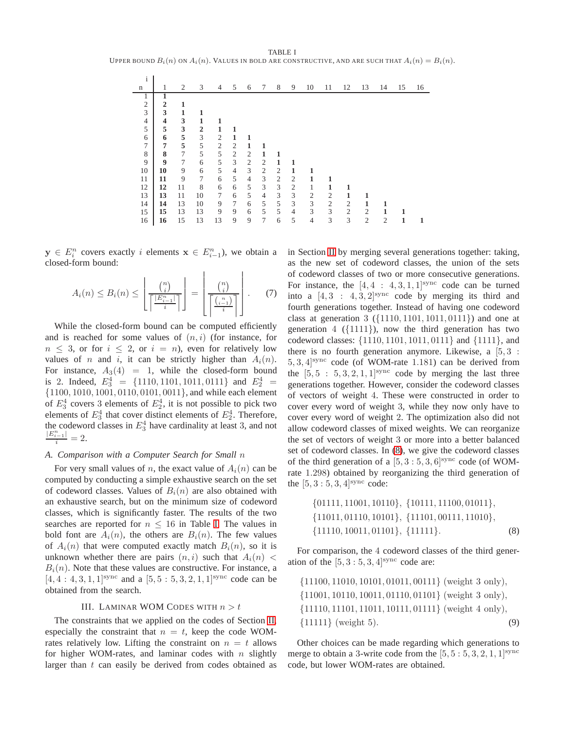<span id="page-3-0"></span>TABLE I UPPER BOUND  $B_i(n)$  on  $A_i(n)$ . VALUES IN BOLD ARE CONSTRUCTIVE, AND ARE SUCH THAT  $A_i(n) = B_i(n)$ .

| $\mathbf{1}$   |                |    |                |                |                |                |                |                |                |                |                |                |                |                |    |    |
|----------------|----------------|----|----------------|----------------|----------------|----------------|----------------|----------------|----------------|----------------|----------------|----------------|----------------|----------------|----|----|
| n              | 1              | 2  | 3              | 4              | 5              | 6              | 7              | 8              | 9              | 10             | 11             | 12             | 13             | 14             | 15 | 16 |
|                |                |    |                |                |                |                |                |                |                |                |                |                |                |                |    |    |
| $\overline{2}$ | $\overline{2}$ | 1  |                |                |                |                |                |                |                |                |                |                |                |                |    |    |
| 3              | 3              | 1  | 1              |                |                |                |                |                |                |                |                |                |                |                |    |    |
| 4              | 4              | 3  | 1              | 1              |                |                |                |                |                |                |                |                |                |                |    |    |
| 5              | 5              | 3  | $\overline{2}$ | 1              |                |                |                |                |                |                |                |                |                |                |    |    |
| 6              | 6              | 5  | 3              | $\mathfrak{2}$ |                |                |                |                |                |                |                |                |                |                |    |    |
| 7              | 7              | 5  | 5              | $\mathfrak{2}$ | 2              |                |                |                |                |                |                |                |                |                |    |    |
| 8              | 8              | 7  | 5              | 5              | $\overline{2}$ | $\overline{2}$ | 1              |                |                |                |                |                |                |                |    |    |
| 9              | 9              | 7  | 6              | 5              | 3              | $\overline{2}$ | 2              | 1              | 1              |                |                |                |                |                |    |    |
| 10             | 10             | 9  | 6              | 5              | $\overline{4}$ | 3              | 2              | $\overline{2}$ | 1              |                |                |                |                |                |    |    |
| 11             | 11             | 9  | $\overline{7}$ | 6              | 5              | $\overline{4}$ | 3              | $\overline{2}$ | $\overline{2}$ |                |                |                |                |                |    |    |
| 12             | 12             | 11 | 8              | 6              | 6              | 5              | 3              | 3              | $\mathfrak{2}$ | 1              | 1              |                |                |                |    |    |
| 13             | 13             | 11 | 10             | 7              | 6              | 5              | $\overline{4}$ | 3              | 3              | $\overline{2}$ | $\mathfrak{2}$ | 1              |                |                |    |    |
| 14             | 14             | 13 | 10             | 9              | 7              | 6              | 5              | 5              | 3              | 3              | $\mathfrak{2}$ | 2              | 1              | 1              |    |    |
| 15             | 15             | 13 | 13             | 9              | 9              | 6              | 5              | 5              | $\overline{4}$ | 3              | 3              | $\mathfrak{2}$ | $\overline{2}$ | 1              | 1  |    |
| 16             | 16             | 15 | 13             | 13             | 9              | 9              | 7              | 6              | 5              | $\overline{4}$ | 3              | 3              | $\overline{2}$ | $\overline{2}$ |    |    |

 $\blacksquare$ 

 $y \in E_i^n$  covers exactly i elements  $x \in E_{i-1}^n$ ), we obtain a closed-form bound:

$$
A_i(n) \leq B_i(n) \leq \left\lfloor \frac{\binom{n}{i}}{\left\lceil \frac{|E_{i-1}^n|}{i} \right\rceil} \right\rfloor = \left\lfloor \frac{\binom{n}{i}}{\left\lceil \frac{\binom{n}{i-1}}{i} \right\rceil} \right\rfloor. \tag{7}
$$

While the closed-form bound can be computed efficiently and is reached for some values of  $(n, i)$  (for instance, for  $n \leq 3$ , or for  $i \leq 2$ , or  $i = n$ ), even for relatively low values of n and i, it can be strictly higher than  $A_i(n)$ . For instance,  $A_3(4) = 1$ , while the closed-form bound is 2. Indeed,  $E_3^4 = \{1110, 1101, 1011, 0111\}$  and  $E_2^4 =$ {1100, 1010, 1001, 0110, 0101, 0011}, and while each element of  $E_3^4$  covers 3 elements of  $E_2^4$ , it is not possible to pick two elements of  $E_3^4$  that cover distinct elements of  $E_2^4$ . Therefore, EVERTIGE CONSIDED EXECUTE:<br>the codeword classes in  $E_3^4$  have cardinality at least 3, and not<br> $\frac{|E_{i-1}^n|}{i} = 2$ .

#### *A. Comparison with a Computer Search for Small* n

For very small values of n, the exact value of  $A_i(n)$  can be computed by conducting a simple exhaustive search on the set of codeword classes. Values of  $B_i(n)$  are also obtained with an exhaustive search, but on the minimum size of codeword classes, which is significantly faster. The results of the two searches are reported for  $n \leq 16$  in Table [I.](#page-3-0) The values in bold font are  $A_i(n)$ , the others are  $B_i(n)$ . The few values of  $A_i(n)$  that were computed exactly match  $B_i(n)$ , so it is unknown whether there are pairs  $(n, i)$  such that  $A_i(n)$  <  $B_i(n)$ . Note that these values are constructive. For instance, a  $[4, 4: 4, 3, 1, 1]^{sync}$  and a  $[5, 5: 5, 3, 2, 1, 1]^{sync}$  code can be obtained from the search.

#### III. LAMINAR WOM CODES WITH  $n > t$

<span id="page-3-2"></span>The constraints that we applied on the codes of Section [II,](#page-2-2) especially the constraint that  $n = t$ , keep the code WOMrates relatively low. Lifting the constraint on  $n = t$  allows for higher WOM-rates, and laminar codes with  $n$  slightly larger than  $t$  can easily be derived from codes obtained as in Section [II](#page-2-2) by merging several generations together: taking, as the new set of codeword classes, the union of the sets of codeword classes of two or more consecutive generations. For instance, the  $[4, 4 : 4, 3, 1, 1]$ <sup>sync</sup> code can be turned into a  $[4, 3 : 4, 3, 2]$ <sup>sync</sup> code by merging its third and fourth generations together. Instead of having one codeword class at generation  $3 \left( \{1110, 1101, 1011, 0111 \} \right)$  and one at generation  $4 \left( \{1111\} \right)$ , now the third generation has two codeword classes: {1110, 1101, 1011, 0111} and {1111}, and there is no fourth generation anymore. Likewise, a  $[5,3]$ :  $5, 3, 4$ <sup>sync</sup> code (of WOM-rate 1.181) can be derived from the  $[5, 5 : 5, 3, 2, 1, 1]$ <sup>sync</sup> code by merging the last three generations together. However, consider the codeword classes of vectors of weight 4. These were constructed in order to cover every word of weight 3, while they now only have to cover every word of weight 2. The optimization also did not allow codeword classes of mixed weights. We can reorganize the set of vectors of weight 3 or more into a better balanced set of codeword classes. In [\(8\)](#page-3-1), we give the codeword classes of the third generation of a  $[5, 3:5, 3, 6]$ <sup>sync</sup> code (of WOMrate 1.298) obtained by reorganizing the third generation of the  $[5, 3:5, 3, 4]$ <sup>sync</sup> code:

<span id="page-3-1"></span>
$$
\{01111, 11001, 10110\}, \{10111, 11100, 01011\}, \{11011, 01110, 10101\}, \{11101, 00111, 11010\}, \{11110, 10011, 01101\}, \{11111\}.
$$
 (8)

For comparison, the 4 codeword classes of the third generation of the  $[5, 3:5, 3, 4]$ <sup>sync</sup> code are:

$$
{11100, 11010, 10101, 01011, 00111} (weight 3 only),{11001, 10110, 10011, 01110, 01101} (weight 3 only),{11110, 11101, 11011, 10111, 01111} (weight 4 only),{11111} (weight 5).
$$
 (9)

Other choices can be made regarding which generations to merge to obtain a 3-write code from the  $[5, 5: 5, 3, 2, 1, 1]$ <sup>sync</sup> code, but lower WOM-rates are obtained.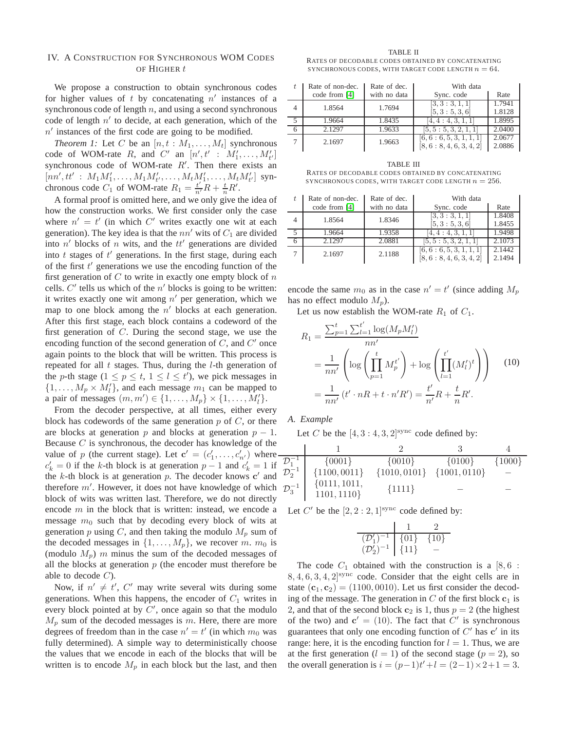#### <span id="page-4-4"></span>IV. A CONSTRUCTION FOR SYNCHRONOUS WOM CODES OF HIGHER t

We propose a construction to obtain synchronous codes for higher values of  $t$  by concatenating  $n'$  instances of a synchronous code of length  $n$ , and using a second synchronous code of length  $n'$  to decide, at each generation, which of the  $n'$  instances of the first code are going to be modified.

*Theorem 1:* Let C be an  $[n, t : M_1, \ldots, M_t]$  synchronous code of WOM-rate R, and C' an  $[n', t' : M'_1, \ldots, M'_{t'}]$ synchronous code of WOM-rate  $R'$ . Then there exists an  $[nn', tt' : M_1M'_1, \ldots, M_1M'_{t'}, \ldots, M_tM'_1, \ldots, M_tM'_{t'}]$  synchronous code  $C_1$  of WOM-rate  $R_1 = \frac{t'}{n'}R + \frac{t}{n}R'$ .

A formal proof is omitted here, and we only give the idea of how the construction works. We first consider only the case where  $n' = t'$  (in which C' writes exactly one wit at each generation). The key idea is that the  $nn'$  wits of  $C_1$  are divided into  $n'$  blocks of n wits, and the  $tt'$  generations are divided into  $t$  stages of  $t'$  generations. In the first stage, during each of the first  $t'$  generations we use the encoding function of the first generation of  $C$  to write in exactly one empty block of  $n$ cells.  $C'$  tells us which of the  $n'$  blocks is going to be written: it writes exactly one wit among  $n'$  per generation, which we map to one block among the  $n'$  blocks at each generation. After this first stage, each block contains a codeword of the first generation of C. During the second stage, we use the encoding function of the second generation of  $C$ , and  $C'$  once again points to the block that will be written. This process is repeated for all  $t$  stages. Thus, during the  $l$ -th generation of the *p*-th stage  $(1 \le p \le t, 1 \le l \le t')$ , we pick messages in  $\{1, \ldots, M_p \times M'_l\}$ , and each message  $m_1$  can be mapped to a pair of messages  $(m, m') \in \{1, \ldots, M_p\} \times \{1, \ldots, M'_l\}.$ 

From the decoder perspective, at all times, either every block has codewords of the same generation  $p$  of  $C$ , or there are blocks at generation p and blocks at generation  $p - 1$ . Because  $C$  is synchronous, the decoder has knowledge of the value of p (the current stage). Let  $\mathbf{c}' = (c'_1, \dots, c'_{n'})$  where  $c'_k = 0$  if the k-th block is at generation  $p - 1$  and  $c'_k = 1$  if the  $k$ -th block is at generation  $p$ . The decoder knows  $c'$  and therefore  $m'$ . However, it does not have knowledge of which block of wits was written last. Therefore, we do not directly encode  $m$  in the block that is written: instead, we encode a message  $m_0$  such that by decoding every block of wits at generation p using C, and then taking the modulo  $M_p$  sum of the decoded messages in  $\{1, \ldots, M_p\}$ , we recover m.  $m_0$  is (modulo  $M_p$ ) m minus the sum of the decoded messages of all the blocks at generation  $p$  (the encoder must therefore be able to decode  $C$ ).

Now, if  $n' \neq t'$ ,  $C'$  may write several wits during some generations. When this happens, the encoder of  $C_1$  writes in every block pointed at by  $C'$ , once again so that the modulo  $M_p$  sum of the decoded messages is m. Here, there are more degrees of freedom than in the case  $n' = t'$  (in which  $m_0$  was fully determined). A simple way to deterministically choose the values that we encode in each of the blocks that will be written is to encode  $M_p$  in each block but the last, and then

<span id="page-4-2"></span>TABLE II RATES OF DECODABLE CODES OBTAINED BY CONCATENATING SYNCHRONOUS CODES, WITH TARGET CODE LENGTH  $n = 64$ .

<span id="page-4-0"></span>

|                | Rate of non-dec. | Rate of dec. | With data                |        |  |  |  |
|----------------|------------------|--------------|--------------------------|--------|--|--|--|
|                | code from [4]    | with no data | Sync. code               | Rate   |  |  |  |
| $\overline{4}$ | 1.8564           | 1.7694       | [3, 3: 3, 1, 1]          | 1.7941 |  |  |  |
|                |                  |              | [5, 3: 5, 3, 6]          | 1.8128 |  |  |  |
|                | 1.9664           | 1.8435       | 4, 4: 4, 3, 1, 1         | 1.8995 |  |  |  |
| n              | 2.1297           | 1.9633       | [5, 5: 5, 3, 2, 1, 1]    | 2.0400 |  |  |  |
|                | 2.1697           | 1.9663       | [6, 6: 6, 5, 3, 1, 1, 1] | 2.0677 |  |  |  |
|                |                  |              | [8, 6: 8, 4, 6, 3, 4, 2] | 2.0886 |  |  |  |

<span id="page-4-3"></span>TABLE III RATES OF DECODABLE CODES OBTAINED BY CONCATENATING SYNCHRONOUS CODES, WITH TARGET CODE LENGTH  $n = 256$ .

| Rate of non-dec. | Rate of dec. | With data                                            |                  |  |  |  |
|------------------|--------------|------------------------------------------------------|------------------|--|--|--|
| code from [4]    | with no data | Sync. code                                           | Rate             |  |  |  |
| 1.8564           | 1.8346       | [3, 3: 3, 1, 1]                                      | 1.8408           |  |  |  |
|                  |              | [5, 3: 5, 3, 6]                                      | 1.8455           |  |  |  |
| 1.9664           | 1.9358       | 4, 4: 4, 3, 1, 1                                     | 1.9498           |  |  |  |
| 2.1297           | 2.0881       | [5, 5: 5, 3, 2, 1, 1]                                | 2.1073           |  |  |  |
| 2.1697           | 2.1188       | [6, 6: 6, 5, 3, 1, 1, 1]<br>[8, 6: 8, 4, 6, 3, 4, 2] | 2.1442<br>2.1494 |  |  |  |

encode the same  $m_0$  as in the case  $n' = t'$  (since adding  $M_p$ ) has no effect modulo  $M_n$ ).

Let us now establish the WOM-rate  $R_1$  of  $C_1$ .

$$
R_1 = \frac{\sum_{p=1}^t \sum_{l=1}^{t'} \log(M_p M_l')}{nn'}
$$
  
= 
$$
\frac{1}{nn'} \left( \log \left( \prod_{p=1}^t M_p^{t'} \right) + \log \left( \prod_{l=1}^{t'} (M_l')^t \right) \right)
$$
 (10)  
= 
$$
\frac{1}{nn'} (t' \cdot nR + t \cdot n'R') = \frac{t'}{n'}R + \frac{t}{n}R'.
$$

<span id="page-4-1"></span>*A. Example*

Let C be the  $[4, 3:4, 3, 2]$ <sup>sync</sup> code defined by:

| $\mathcal{D}_1^{-1}$ | ${0001}$                      | $\{0010\}$       | $\{0100\}$       | ${1000}$ |
|----------------------|-------------------------------|------------------|------------------|----------|
| $\mathcal{D}_2^{-1}$ | ${1100,0011}$                 | $\{1010, 0101\}$ | $\{1001, 0110\}$ |          |
| $\mathcal{D}_3^{-1}$ | $\{0111, 1011,$<br>1101, 1110 | ${1111}$         |                  |          |

Let C' be the  $[2, 2:2, 1]$ <sup>sync</sup> code defined by:

$$
\begin{array}{c|cc}\n & 1 & 2 \\
\hline\n(\mathcal{D}'_1)^{-1} & \{01\} & \{10\} \\
(\mathcal{D}'_2)^{-1} & \{11\} & -\n\end{array}
$$

The code  $C_1$  obtained with the construction is a [8,6 :  $8, 4, 6, 3, 4, 2$ <sup>sync</sup> code. Consider that the eight cells are in state  $(c_1, c_2) = (1100, 0010)$ . Let us first consider the decoding of the message. The generation in  $C$  of the first block  $c_1$  is 2, and that of the second block  $c_2$  is 1, thus  $p = 2$  (the highest of the two) and  $\mathbf{c}' = (10)$ . The fact that  $C'$  is synchronous guarantees that only one encoding function of  $C'$  has  $c'$  in its range: here, it is the encoding function for  $l = 1$ . Thus, we are at the first generation  $(l = 1)$  of the second stage  $(p = 2)$ , so the overall generation is  $i = (p-1)t'+l = (2-1) \times 2+1 = 3$ .